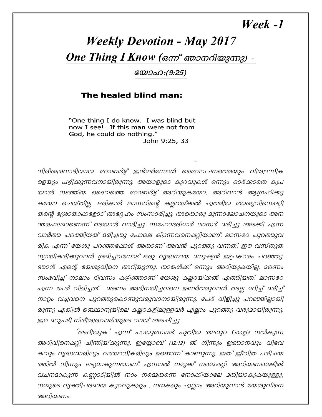## Week -1

## **Weekly Devotion - May 2017** One Thing I Know (ഒന്ന് ഞാനറിയുന്നു) -

യോഹ:(9:25)

## The healed blind man:

"One thing I do know. I was blind but now I see!...If this man were not from God, he could do nothing." John 9:25, 33

നിരീശ്വരവാദിയായ റോബർട്ട് ഇൻഗർസോൾ ദൈവവചനത്തെയും വിശ്വാസിക ളെയും പഴ്യിക്കുന്നവനായിരുന്നു. അയാളുടെ കുറവുകൾ ഒന്നും ഓർക്കാതെ കൃപ യാൽ നടത്തിയ ദൈവത്തെ റോബർട്ട് അറിയുകയോ, അറിവാൻ ആഗ്രഹിക്കു കയോ ചെയ്തില്ല. ഒരിക്കൽ ലാസറിന്റെ കല്ലറയ്ക്കൽ എത്തിയ യേശുവിനെഷറ്റി തന്റെ ശ്രോതാക്കളോട് അദ്ദേഹം സംസാരിച്ചു. അതൊരു മുന്നാലോചനയുടെ അന ന്തരഫലമാണെന്ന് അയാൾ വാദിച്ചു. സഹോദരിമാർ ലാസർ മരിച്ചു അടക്കി എന്ന വാർത്ത പരത്തിയത് മരിച്ചതു പോലെ കിടന്നവനെഷറ്റിയാണ്. ലാസറേ പുറത്തുവ രിക എന്ന് യേശു പറഞ്ഞപ്പോൾ അതാണ് അവൻ പുറത്തു വന്നത്. ഈ വസ്തുത ന്യായികരിക്കുവാൻ ശ്രമിച്ചവനോട് ഒരു വ്യദ്ധനായ മനുഷ്യൻ ഇപ്രകാരം പറഞ്ഞു. ഞാൻ എന്റെ യേശുവിനെ അറിയുന്നു. താങ്കൾക്ക് ഒന്നും അറിയുകയില്ല. മരണം സംഭവിച്ച് നാലാം ദിവസം കഴിഞ്ഞാണ് യേശു കല്ലറയ്ക്കൽ എത്തിയത്. ലാസറേ എന്ന പേർ വിളിച്ചത് മരണം അഭിനയിച്ചവനെ ഉണർത്തുവാൻ അല്ല മറിച്ച് മരിച്ച് . നാറ്റം വച്ചവനെ പുറത്തുകൊണ്ടുവരുവാനായിരുന്നു. പേർ വിളിച്ചു പറഞ്ഞില്ലായി രുന്നു എങ്കിൽ ബെഥാന്യയിലെ കല്ലറകളിലുള്ളവർ എല്ലാം പുറത്തു വരുമായിരുന്നു. ഈ മറുപടി നിരീശ്വരവാദിയുടെ വായ് അടപ്പിച്ചു.

'അറിയുക' എന്ന് പറയുമ്പോൾ പുതിയ തലമുറ Google നൽകുന്ന അറിവിനെഷറ്റി ചിന്തിയ്ക്കുന്നു. ഇയ്യോബ് (12:12) ൽ നിന്നും ഇഞാനവും വിവേ കവും വ്യദ്ധന്മാരിലും വയോധികരിലും ഉണ്ടെന്ന് കാണുന്നു. ഇത് ജീവിത പരിചയ ത്തിൽ നിന്നും ലഭ്യമാകുന്നതാണ്. എന്നാൽ നമുക്ക് നമ്മെഷറ്റി അറിയണമെങ്കിൽ വചനമാകുന്ന കണ്ണാടിയിൽ നാം നമ്മെതന്നെ നോക്കിയാലേ മതിയാകുകയുള്ളു, നമ്മുടെ വ്യക്തിപരമായ കുറവുകളും , നന്മകളും എല്ലാം അറിയുവാൻ യേശുവിനെ അറിയണം.